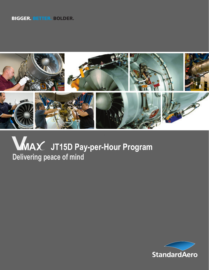#### BIGGER. BETTER. BOLDER.



# **JT15D Pay-per-Hour Program MDelivering peace of mind**

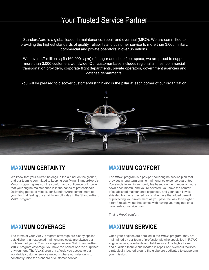### Your Trusted Service Partner

StandardAero is a global leader in maintenance, repair and overhaul (MRO). We are committed to providing the highest standards of quality, reliability and customer service to more than 3,000 military, commercial and private operators in over 85 nations.

With over 1.7 million sq ft (160,000 sq m) of hangar and shop floor space, we are proud to support more than 3,000 customers worldwide. Our customer base includes regional airlines, commercial transportation providers, corporate flight departments, private operators, government agencies and defense departments.

You will be pleased to discover customer-first thinking is the pillar at each corner of our organization.



#### **MAXIMUM CERTAINTY**

We know that your aircraft belongs in the air, not on the ground, and our team is committed to keeping you flying. StandardAero's **VMAX** program gives you the comfort and confidence of knowing that your engine maintenance is in the hands of professionals. Delivering peace of mind is our StandardAero commitment to you. For that feeling of certainty, enroll today in the StandardAero **VMAX** program.

### **MAXIMUM COMFORT**

The **VMAX** program is a pay-per-hour engine service plan that provides a long-term engine maintenance expense guarantee. You simply invest in an hourly fee based on the number of hours flown each month, and you're covered. You have the comfort of established maintenance expenses, and your cash flow is shielded from unexpected costs. You have the added benefit of protecting your investment as you pave the way for a higher aircraft resale value that comes with having your engines on a pay-per-hour service plan.

That is **VMAX** comfort.

### **MAXIMUM SERVICE**

Once your engines are enrolled in the VMAX program, they are maintained by our team of professionals who specialize in P&WC engine repairs, overhauls and field service. Our highly trained and qualified technicians located in repair and overhaul facilities strategically located around the globe are dedicated to supporting your mission.

#### **MAXIMUM COVERAGE**

The terms of your **VMA** *x* program coverage are clearly spelled out. Higher than expected maintenance costs are always our problem, not yours. Your coverage is secure. With StandardAero **VMA**  $\times$  program coverage, you have the benefit of a 'no surprises' environment. The VMAX program affords you access to our worldwide customer service network where our mission is to constantly raise the standard of customer service.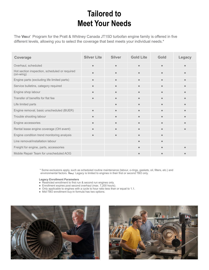## **Tailored to Meet Your Needs**

The VMAX Program for the Pratt & Whitney Canada JT15D turbofan engine family is offered in five different levels, allowing you to select the coverage that best meets your individual needs.\*

| Coverage                                                   | <b>Silver Lite</b> | <b>Silver</b> | <b>Gold Lite</b> | Gold      | <b>Legacy</b> |
|------------------------------------------------------------|--------------------|---------------|------------------|-----------|---------------|
| Overhaul, scheduled                                        | $\bullet$          | ٠             | $\bullet$        |           |               |
| Hot section inspection, scheduled or required<br>(on-wing) |                    |               | $\bullet$        |           |               |
| Engine parts (excluding life limited parts)                | $\bullet$          | $\bullet$     | $\bullet$        | $\bullet$ |               |
| Service bulletins, category required                       | $\bullet$          | $\bullet$     | $\bullet$        | $\bullet$ |               |
| Engine shop labour                                         |                    |               | $\bullet$        |           |               |
| Transfer of benefits for flat fee                          |                    | ⋒             | $\bullet$        |           |               |
| Life limited parts                                         |                    | $\bullet$     | $\bullet$        | $\bullet$ |               |
| Engine removal, basic unscheduled (BUER)                   | $\bullet$          | $\bullet$     | $\bullet$        | $\bullet$ |               |
| Trouble shooting labour                                    | $\bullet$          | $\bullet$     | $\bullet$        | $\bullet$ |               |
| Engine accessories                                         |                    |               | $\bullet$        |           |               |
| Rental lease engine coverage (OH event)                    |                    |               | $\bullet$        |           |               |
| Engine condition trend monitoring analysis                 | $\bullet$          | $\bullet$     | $\bullet$        | $\bullet$ |               |
| Line removal/installation labour                           |                    |               | $\bullet$        |           |               |
| Freight for engine, parts, accessories                     |                    |               | $\bullet$        |           |               |
| Mobile Repair Team for unscheduled AOG                     |                    |               |                  |           |               |

\* Some exclusions apply, such as scheduled routine maintenance (labour, o-rings, gaskets, oil, filters, etc.) and environmental factors. **V**MAX Legacy is limited to engines in their first or second TBO only.

#### **Legacy Enrollment Parameters**

- Restricted enrollment to first run & second run engines only.
- Enrollment expires post second overhaul (max. 7,200 hours).
- Only applicable to engines with a cycle to hour ratio less than or equal to 1.1.
- Mid-TBO enrollment buy-in formula has two options.